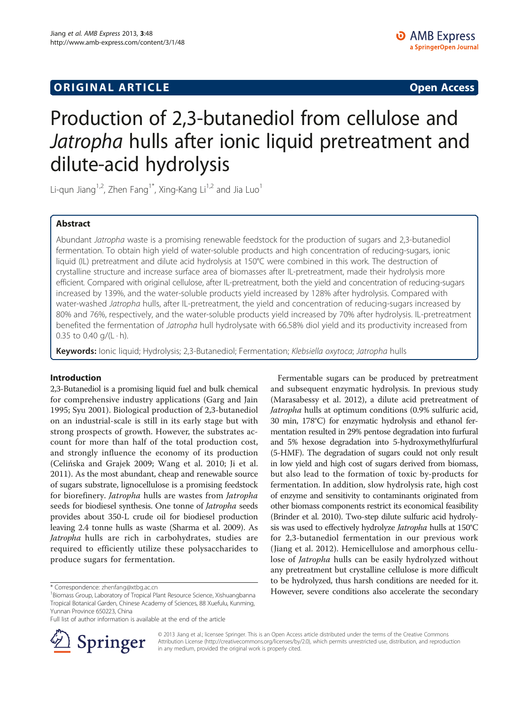## **ORIGINAL ARTICLE CONSUMING A LIGACION CONSUMING A LIGACION CONSUMING A LIGACION**

# Production of 2,3-butanediol from cellulose and Jatropha hulls after ionic liquid pretreatment and dilute-acid hydrolysis

Li-qun Jiang<sup>1,2</sup>, Zhen Fang<sup>1\*</sup>, Xing-Kang Li<sup>1,2</sup> and Jia Luo<sup>1</sup>

## Abstract

Abundant Jatropha waste is a promising renewable feedstock for the production of sugars and 2,3-butanediol fermentation. To obtain high yield of water-soluble products and high concentration of reducing-sugars, ionic liquid (IL) pretreatment and dilute acid hydrolysis at 150°C were combined in this work. The destruction of crystalline structure and increase surface area of biomasses after IL-pretreatment, made their hydrolysis more efficient. Compared with original cellulose, after IL-pretreatment, both the yield and concentration of reducing-sugars increased by 139%, and the water-soluble products yield increased by 128% after hydrolysis. Compared with water-washed Jatropha hulls, after IL-pretreatment, the yield and concentration of reducing-sugars increased by 80% and 76%, respectively, and the water-soluble products yield increased by 70% after hydrolysis. IL-pretreatment benefited the fermentation of Jatropha hull hydrolysate with 66.58% diol yield and its productivity increased from 0.35 to 0.40  $q/(L \cdot h)$ .

Keywords: Ionic liquid; Hydrolysis; 2,3-Butanediol; Fermentation; Klebsiella oxytoca; Jatropha hulls

## Introduction

2,3-Butanediol is a promising liquid fuel and bulk chemical for comprehensive industry applications (Garg and Jain [1995;](#page-7-0) Syu [2001](#page-7-0)). Biological production of 2,3-butanediol on an industrial-scale is still in its early stage but with strong prospects of growth. However, the substrates account for more than half of the total production cost, and strongly influence the economy of its production (Celińska and Grajek [2009](#page-7-0); Wang et al. [2010;](#page-7-0) Ji et al. [2011\)](#page-7-0). As the most abundant, cheap and renewable source of sugars substrate, lignocellulose is a promising feedstock for biorefinery. Jatropha hulls are wastes from Jatropha seeds for biodiesel synthesis. One tonne of Jatropha seeds provides about 350-L crude oil for biodiesel production leaving 2.4 tonne hulls as waste (Sharma et al. [2009\)](#page-7-0). As Jatropha hulls are rich in carbohydrates, studies are required to efficiently utilize these polysaccharides to produce sugars for fermentation.

Full list of author information is available at the end of the article



Fermentable sugars can be produced by pretreatment and subsequent enzymatic hydrolysis. In previous study (Marasabessy et al. [2012\)](#page-7-0), a dilute acid pretreatment of Jatropha hulls at optimum conditions (0.9% sulfuric acid, 30 min, 178°C) for enzymatic hydrolysis and ethanol fermentation resulted in 29% pentose degradation into furfural and 5% hexose degradation into 5-hydroxymethylfurfural (5-HMF). The degradation of sugars could not only result in low yield and high cost of sugars derived from biomass, but also lead to the formation of toxic by-products for fermentation. In addition, slow hydrolysis rate, high cost of enzyme and sensitivity to contaminants originated from other biomass components restrict its economical feasibility (Brinder et al. [2010](#page-7-0)). Two-step dilute sulfuric acid hydrolysis was used to effectively hydrolyze *Jatropha* hulls at 150°C for 2,3-butanediol fermentation in our previous work (Jiang et al. [2012\)](#page-7-0). Hemicellulose and amorphous cellulose of Jatropha hulls can be easily hydrolyzed without any pretreatment but crystalline cellulose is more difficult to be hydrolyzed, thus harsh conditions are needed for it. \* Correspondence: [zhenfang@xtbg.ac.cn](mailto:zhenfang@xtbg.ac.cn)<br><sup>1</sup>Biomass Group Laboratory of Tropical Plant Besource Science, Xishuangbanna **However, severe conditions also accelerate the secondary** 

> © 2013 Jiang et al.; licensee Springer. This is an Open Access article distributed under the terms of the Creative Commons Attribution License [\(http://creativecommons.org/licenses/by/2.0\)](http://creativecommons.org/licenses/by/2.0), which permits unrestricted use, distribution, and reproduction in any medium, provided the original work is properly cited.

<sup>&</sup>lt;sup>1</sup> Biomass Group, Laboratory of Tropical Plant Resource Science, Xishuangbanna Tropical Botanical Garden, Chinese Academy of Sciences, 88 Xuefulu, Kunming, Yunnan Province 650223, China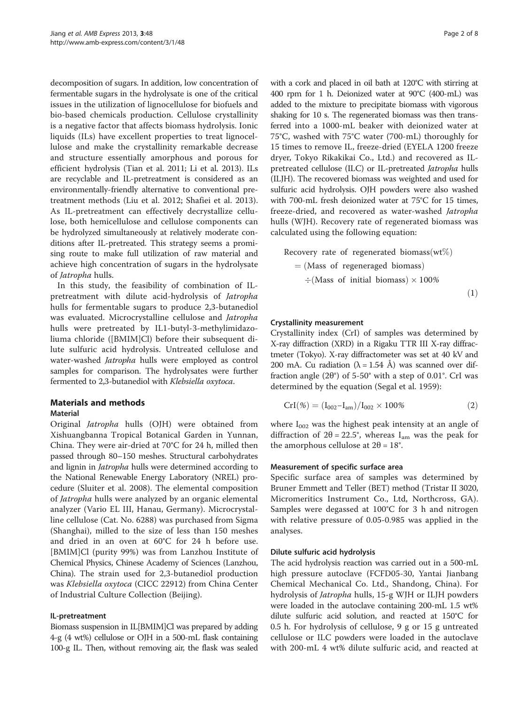decomposition of sugars. In addition, low concentration of fermentable sugars in the hydrolysate is one of the critical issues in the utilization of lignocellulose for biofuels and bio-based chemicals production. Cellulose crystallinity is a negative factor that affects biomass hydrolysis. Ionic liquids (ILs) have excellent properties to treat lignocellulose and make the crystallinity remarkable decrease and structure essentially amorphous and porous for efficient hydrolysis (Tian et al. [2011;](#page-7-0) Li et al. [2013](#page-7-0)). ILs are recyclable and IL-pretreatment is considered as an environmentally-friendly alternative to conventional pretreatment methods (Liu et al. [2012;](#page-7-0) Shafiei et al. [2013](#page-7-0)). As IL-pretreatment can effectively decrystallize cellulose, both hemicellulose and cellulose components can be hydrolyzed simultaneously at relatively moderate conditions after IL-pretreated. This strategy seems a promising route to make full utilization of raw material and achieve high concentration of sugars in the hydrolysate of Jatropha hulls.

In this study, the feasibility of combination of ILpretreatment with dilute acid-hydrolysis of Jatropha hulls for fermentable sugars to produce 2,3-butanediol was evaluated. Microcrystalline cellulose and Jatropha hulls were pretreated by IL1-butyl-3-methylimidazoliuma chloride ([BMIM]Cl) before their subsequent dilute sulfuric acid hydrolysis. Untreated cellulose and water-washed Jatropha hulls were employed as control samples for comparison. The hydrolysates were further fermented to 2,3-butanediol with Klebsiella oxytoca.

## Materials and methods

## Material

Original Jatropha hulls (OJH) were obtained from Xishuangbanna Tropical Botanical Garden in Yunnan, China. They were air-dried at 70°C for 24 h, milled then passed through 80–150 meshes. Structural carbohydrates and lignin in *Jatropha* hulls were determined according to the National Renewable Energy Laboratory (NREL) procedure (Sluiter et al. [2008\)](#page-7-0). The elemental composition of *Jatropha* hulls were analyzed by an organic elemental analyzer (Vario EL III, Hanau, Germany). Microcrystalline cellulose (Cat. No. 6288) was purchased from Sigma (Shanghai), milled to the size of less than 150 meshes and dried in an oven at 60°C for 24 h before use. [BMIM]Cl (purity 99%) was from Lanzhou Institute of Chemical Physics, Chinese Academy of Sciences (Lanzhou, China). The strain used for 2,3-butanediol production was Klebsiella oxytoca (CICC 22912) from China Center of Industrial Culture Collection (Beijing).

## IL-pretreatment

Biomass suspension in IL[BMIM]Cl was prepared by adding 4-g (4 wt%) cellulose or OJH in a 500-mL flask containing 100-g IL. Then, without removing air, the flask was sealed with a cork and placed in oil bath at 120°C with stirring at 400 rpm for 1 h. Deionized water at 90°C (400-mL) was added to the mixture to precipitate biomass with vigorous shaking for 10 s. The regenerated biomass was then transferred into a 1000-mL beaker with deionized water at 75°C, washed with 75°C water (700-mL) thoroughly for 15 times to remove IL, freeze-dried (EYELA 1200 freeze dryer, Tokyo Rikakikai Co., Ltd.) and recovered as ILpretreated cellulose (ILC) or IL-pretreated Jatropha hulls (ILJH). The recovered biomass was weighted and used for sulfuric acid hydrolysis. OJH powders were also washed with 700-mL fresh deionized water at 75°C for 15 times, freeze-dried, and recovered as water-washed Jatropha hulls (WJH). Recovery rate of regenerated biomass was calculated using the following equation:

Recovery rate of regenerated biomass (wt%)  $=$  (Mass of regeneraged biomass)  $\div$ (Mass of initial biomass) × 100%

#### $(1)$

#### Crystallinity measurement

Crystallinity index (CrI) of samples was determined by X-ray diffraction (XRD) in a Rigaku TTR III X-ray diffractmeter (Tokyo). X-ray diffractometer was set at 40 kV and 200 mA. Cu radiation ( $\lambda = 1.54$  Å) was scanned over diffraction angle  $(2\theta^{\circ})$  of 5-50° with a step of 0.01°. CrI was determined by the equation (Segal et al. [1959\)](#page-7-0):

$$
Crl(\%)=(I_{002}-I_{am})/I_{002}\times 100\% \hspace{2cm} (2)
$$

where  $I_{002}$  was the highest peak intensity at an angle of diffraction of  $2\theta = 22.5^{\circ}$ , whereas I<sub>am</sub> was the peak for the amorphous cellulose at  $2\theta = 18^\circ$ .

#### Measurement of specific surface area

Specific surface area of samples was determined by Bruner Emmett and Teller (BET) method (Tristar II 3020, Micromeritics Instrument Co., Ltd, Northcross, GA). Samples were degassed at 100°C for 3 h and nitrogen with relative pressure of 0.05-0.985 was applied in the analyses.

#### Dilute sulfuric acid hydrolysis

The acid hydrolysis reaction was carried out in a 500-mL high pressure autoclave (FCFD05-30, Yantai Jianbang Chemical Mechanical Co. Ltd., Shandong, China). For hydrolysis of Jatropha hulls, 15-g WJH or ILJH powders were loaded in the autoclave containing 200-mL 1.5 wt% dilute sulfuric acid solution, and reacted at 150°C for 0.5 h. For hydrolysis of cellulose, 9 g or 15 g untreated cellulose or ILC powders were loaded in the autoclave with 200-mL 4 wt% dilute sulfuric acid, and reacted at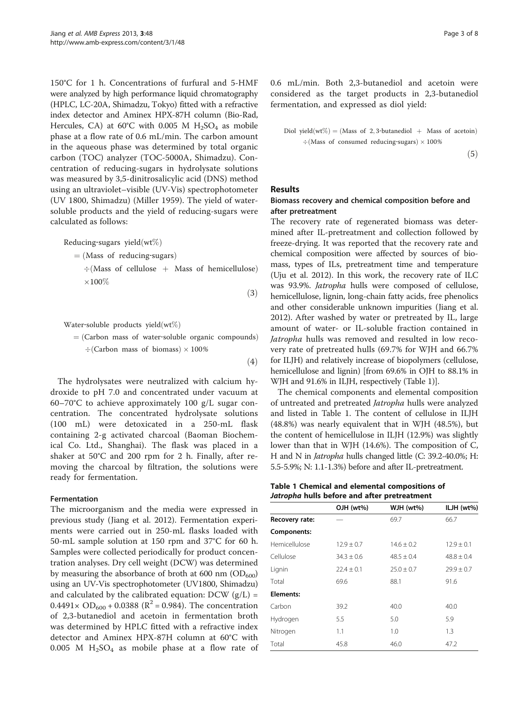<span id="page-2-0"></span>150°C for 1 h. Concentrations of furfural and 5-HMF were analyzed by high performance liquid chromatography (HPLC, LC-20A, Shimadzu, Tokyo) fitted with a refractive index detector and Aminex HPX-87H column (Bio-Rad, Hercules, CA) at 60°C with 0.005 M  $H_2SO_4$  as mobile phase at a flow rate of 0.6 mL/min. The carbon amount in the aqueous phase was determined by total organic carbon (TOC) analyzer (TOC-5000A, Shimadzu). Concentration of reducing-sugars in hydrolysate solutions was measured by 3,5-dinitrosalicylic acid (DNS) method using an ultraviolet–visible (UV-Vis) spectrophotometer (UV 1800, Shimadzu) (Miller [1959](#page-7-0)). The yield of watersoluble products and the yield of reducing-sugars were calculated as follows:

Reducing-sugars yield $(wt\%)$ 

 $=$  (Mass of reducing-sugars)

 $\div$ (Mass of cellulose + Mass of hemicellulose)  $\times 100\%$ 

Water-soluble products yield  $(wt\%)$ 

= (Carbon mass of water-soluble organic compounds)  
\n
$$
\div
$$
 (Carbon mass of biomass) × 100%

The hydrolysates were neutralized with calcium hydroxide to pH 7.0 and concentrated under vacuum at 60–70°C to achieve approximately 100 g/L sugar concentration. The concentrated hydrolysate solutions (100 mL) were detoxicated in a 250-mL flask containing 2-g activated charcoal (Baoman Biochemical Co. Ltd., Shanghai). The flask was placed in a shaker at 50°C and 200 rpm for 2 h. Finally, after removing the charcoal by filtration, the solutions were ready for fermentation.

### Fermentation

The microorganism and the media were expressed in previous study (Jiang et al. [2012](#page-7-0)). Fermentation experiments were carried out in 250-mL flasks loaded with 50-mL sample solution at 150 rpm and 37°C for 60 h. Samples were collected periodically for product concentration analyses. Dry cell weight (DCW) was determined by measuring the absorbance of broth at 600 nm  $(OD_{600})$ using an UV-Vis spectrophotometer (UV1800, Shimadzu) and calculated by the calibrated equation:  $DCW$  ( $g/L$ ) =  $0.4491 \times OD_{600} + 0.0388$  ( $R^2 = 0.984$ ). The concentration of 2,3-butanediol and acetoin in fermentation broth was determined by HPLC fitted with a refractive index detector and Aminex HPX-87H column at 60°C with 0.005 M  $H_2SO_4$  as mobile phase at a flow rate of 0.6 mL/min. Both 2,3-butanediol and acetoin were considered as the target products in 2,3-butanediol fermentation, and expressed as diol yield:

Diol yield  
(wt%) = (Mass of 2, 3-butanediol + Mass of acetoin)  
\n
$$
\div
$$
 (Mass of consumed reducing-sugars)  $\times$  100%  
\n $\div$ 

 $(5)$ 

#### Results

 $(3)$ 

 $(4)$ 

## Biomass recovery and chemical composition before and after pretreatment

The recovery rate of regenerated biomass was determined after IL-pretreatment and collection followed by freeze-drying. It was reported that the recovery rate and chemical composition were affected by sources of biomass, types of ILs, pretreatment time and temperature (Uju et al. [2012](#page-7-0)). In this work, the recovery rate of ILC was 93.9%. Jatropha hulls were composed of cellulose, hemicellulose, lignin, long-chain fatty acids, free phenolics and other considerable unknown impurities (Jiang et al. [2012](#page-7-0)). After washed by water or pretreated by IL, large amount of water- or IL-soluble fraction contained in Jatropha hulls was removed and resulted in low recovery rate of pretreated hulls (69.7% for WJH and 66.7% for ILJH) and relatively increase of biopolymers (cellulose, hemicellulose and lignin) [from 69.6% in OJH to 88.1% in WJH and 91.6% in ILJH, respectively (Table 1)].

The chemical components and elemental composition of untreated and pretreated Jatropha hulls were analyzed and listed in Table 1. The content of cellulose in ILJH (48.8%) was nearly equivalent that in WJH (48.5%), but the content of hemicellulose in ILJH (12.9%) was slightly lower than that in WJH (14.6%). The composition of C, H and N in Jatropha hulls changed little (C: 39.2-40.0%; H: 5.5-5.9%; N: 1.1-1.3%) before and after IL-pretreatment.

Table 1 Chemical and elemental compositions of Jatropha hulls before and after pretreatment

|                  | OJH (wt%)      | WJH (wt%)      | ILJH (wt%)     |
|------------------|----------------|----------------|----------------|
| Recovery rate:   |                | 69.7           | 66.7           |
| Components:      |                |                |                |
| Hemicellulose    | $12.9 \pm 0.7$ | $14.6 \pm 0.2$ | $12.9 \pm 0.1$ |
| Cellulose        | $34.3 \pm 0.6$ | $48.5 \pm 0.4$ | $48.8 \pm 0.4$ |
| Lignin           | $22.4 \pm 0.1$ | $25.0 \pm 0.7$ | $29.9 \pm 0.7$ |
| Total            | 69.6           | 88.1           | 91.6           |
| <b>Elements:</b> |                |                |                |
| Carbon           | 39.2           | 40.0           | 40.0           |
| Hydrogen         | 5.5            | 5.0            | 5.9            |
| Nitrogen         | 1.1            | 1.0            | 1.3            |
| Total            | 45.8           | 46.0           | 47.2           |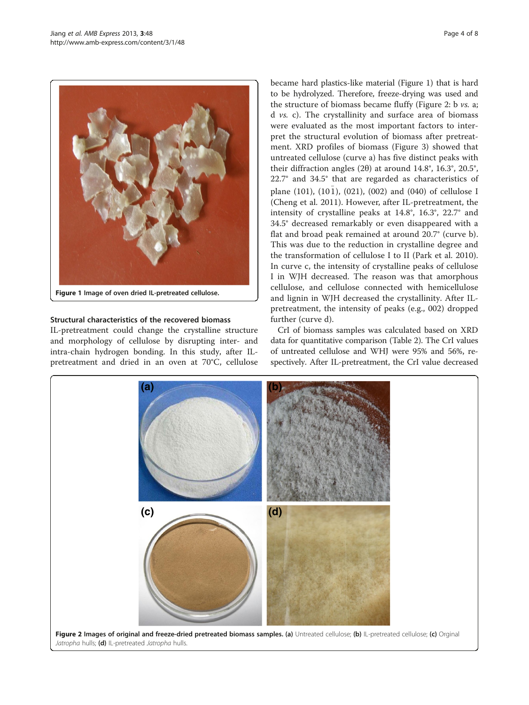

Figure 1 Image of oven dried IL-pretreated cellulose.

## Structural characteristics of the recovered biomass

IL-pretreatment could change the crystalline structure and morphology of cellulose by disrupting inter- and intra-chain hydrogen bonding. In this study, after ILpretreatment and dried in an oven at 70°C, cellulose became hard plastics-like material (Figure 1) that is hard to be hydrolyzed. Therefore, freeze-drying was used and the structure of biomass became fluffy (Figure 2: b vs. a; d vs. c). The crystallinity and surface area of biomass were evaluated as the most important factors to interpret the structural evolution of biomass after pretreatment. XRD profiles of biomass (Figure [3\)](#page-4-0) showed that untreated cellulose (curve a) has five distinct peaks with their diffraction angles (2θ) at around 14.8°, 16.3°, 20.5°, 22.7° and 34.5° that are regarded as characteristics of plane (101), (101), (021), (002) and (040) of cellulose I (Cheng et al. [2011](#page-7-0)). However, after IL-pretreatment, the intensity of crystalline peaks at 14.8°, 16.3°, 22.7° and 34.5° decreased remarkably or even disappeared with a flat and broad peak remained at around 20.7° (curve b). This was due to the reduction in crystalline degree and the transformation of cellulose I to II (Park et al. [2010](#page-7-0)). In curve c, the intensity of crystalline peaks of cellulose I in WJH decreased. The reason was that amorphous cellulose, and cellulose connected with hemicellulose and lignin in WJH decreased the crystallinity. After ILpretreatment, the intensity of peaks (e.g., 002) dropped further (curve d).

CrI of biomass samples was calculated based on XRD data for quantitative comparison (Table [2](#page-4-0)). The CrI values of untreated cellulose and WHJ were 95% and 56%, respectively. After IL-pretreatment, the CrI value decreased

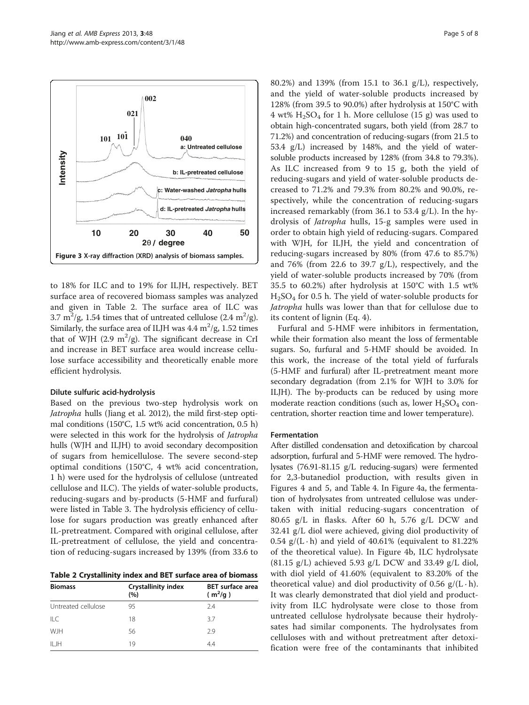to 18% for ILC and to 19% for ILJH, respectively. BET surface area of recovered biomass samples was analyzed and given in Table 2. The surface area of ILC was 3.7 m<sup>2</sup>/g, 1.54 times that of untreated cellulose (2.4 m<sup>2</sup>/g). Similarly, the surface area of ILJH was  $4.4 \text{ m}^2/\text{g}$ , 1.52 times that of WJH (2.9  $m^2/g$ ). The significant decrease in CrI and increase in BET surface area would increase cellulose surface accessibility and theoretically enable more efficient hydrolysis.

#### Dilute sulfuric acid-hydrolysis

Based on the previous two-step hydrolysis work on Jatropha hulls (Jiang et al. [2012\)](#page-7-0), the mild first-step optimal conditions (150°C, 1.5 wt% acid concentration, 0.5 h) were selected in this work for the hydrolysis of Jatropha hulls (WJH and ILJH) to avoid secondary decomposition of sugars from hemicellulose. The severe second-step optimal conditions (150°C, 4 wt% acid concentration, 1 h) were used for the hydrolysis of cellulose (untreated cellulose and ILC). The yields of water-soluble products, reducing-sugars and by-products (5-HMF and furfural) were listed in Table [3.](#page-5-0) The hydrolysis efficiency of cellulose for sugars production was greatly enhanced after IL-pretreatment. Compared with original cellulose, after IL-pretreatment of cellulose, the yield and concentration of reducing-sugars increased by 139% (from 33.6 to

Table 2 Crystallinity index and BET surface area of biomass

| <b>Biomass</b>      | <b>Crystallinity index</b><br>(%) | <b>BET</b> surface area<br>$(m^2/g)$ |
|---------------------|-----------------------------------|--------------------------------------|
| Untreated cellulose | 95                                | 74                                   |
| $\parallel$ C       | 18                                | 37                                   |
| <b>WJH</b>          | 56                                | 2.9                                  |
| $II$ JH             | 19                                | 4.4                                  |

80.2%) and 139% (from 15.1 to 36.1 g/L), respectively, and the yield of water-soluble products increased by 128% (from 39.5 to 90.0%) after hydrolysis at 150°C with 4 wt%  $H_2SO_4$  for 1 h. More cellulose (15 g) was used to obtain high-concentrated sugars, both yield (from 28.7 to 71.2%) and concentration of reducing-sugars (from 21.5 to 53.4 g/L) increased by 148%, and the yield of watersoluble products increased by 128% (from 34.8 to 79.3%). As ILC increased from 9 to 15 g, both the yield of reducing-sugars and yield of water-soluble products decreased to 71.2% and 79.3% from 80.2% and 90.0%, respectively, while the concentration of reducing-sugars increased remarkably (from 36.1 to 53.4 g/L). In the hydrolysis of Jatropha hulls, 15-g samples were used in order to obtain high yield of reducing-sugars. Compared with WJH, for ILJH, the yield and concentration of reducing-sugars increased by 80% (from 47.6 to 85.7%) and 76% (from 22.6 to 39.7 g/L), respectively, and the yield of water-soluble products increased by 70% (from 35.5 to 60.2%) after hydrolysis at 150°C with 1.5 wt%  $H<sub>2</sub>SO<sub>4</sub>$  for 0.5 h. The yield of water-soluble products for Jatropha hulls was lower than that for cellulose due to its content of lignin (Eq. [4\)](#page-2-0).

Furfural and 5-HMF were inhibitors in fermentation, while their formation also meant the loss of fermentable sugars. So, furfural and 5-HMF should be avoided. In this work, the increase of the total yield of furfurals (5-HMF and furfural) after IL-pretreatment meant more secondary degradation (from 2.1% for WJH to 3.0% for ILJH). The by-products can be reduced by using more moderate reaction conditions (such as, lower  $H_2SO_4$  concentration, shorter reaction time and lower temperature).

#### Fermentation

After distilled condensation and detoxification by charcoal adsorption, furfural and 5-HMF were removed. The hydrolysates (76.91-81.15 g/L reducing-sugars) were fermented for 2,3-butanediol production, with results given in Figures [4](#page-5-0) and [5](#page-6-0), and Table [4](#page-6-0). In Figure [4](#page-5-0)a, the fermentation of hydrolysates from untreated cellulose was undertaken with initial reducing-sugars concentration of 80.65 g/L in flasks. After 60 h, 5.76 g/L DCW and 32.41 g/L diol were achieved, giving diol productivity of 0.54 g/(L $\cdot$ h) and yield of 40.61% (equivalent to 81.22% of the theoretical value). In Figure [4](#page-5-0)b, ILC hydrolysate  $(81.15 \text{ g/L})$  achieved 5.93 g/L DCW and 33.49 g/L diol, with diol yield of 41.60% (equivalent to 83.20% of the theoretical value) and diol productivity of 0.56  $g/(L \cdot h)$ . It was clearly demonstrated that diol yield and productivity from ILC hydrolysate were close to those from untreated cellulose hydrolysate because their hydrolysates had similar components. The hydrolysates from celluloses with and without pretreatment after detoxification were free of the contaminants that inhibited

<span id="page-4-0"></span>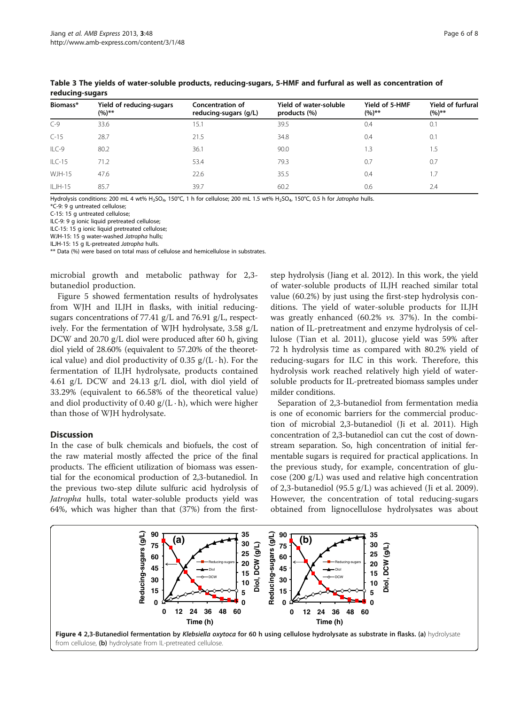| Biomass*      | Yield of reducing-sugars<br>$(%)^{**}$ | <b>Concentration of</b><br>reducing-sugars (g/L) | Yield of water-soluble<br>products (%) | Yield of 5-HMF<br>$(%)**$ | <b>Yield of furfural</b><br>$(%)**$ |
|---------------|----------------------------------------|--------------------------------------------------|----------------------------------------|---------------------------|-------------------------------------|
| $C - 9$       | 33.6                                   | 15.1                                             | 39.5                                   | 0.4                       | 0.1                                 |
| $C-15$        | 28.7                                   | 21.5                                             | 34.8                                   | 0.4                       | 0.1                                 |
| ILC-9         | 80.2                                   | 36.1                                             | 90.0                                   | 1.3                       | 1.5                                 |
| $ILC-15$      | 71.2                                   | 53.4                                             | 79.3                                   | 0.7                       | 0.7                                 |
| <b>WJH-15</b> | 47.6                                   | 22.6                                             | 35.5                                   | 0.4                       | 1.7                                 |
| $ILJH-15$     | 85.7                                   | 39.7                                             | 60.2                                   | 0.6                       | 2.4                                 |

<span id="page-5-0"></span>Table 3 The yields of water-soluble products, reducing-sugars, 5-HMF and furfural as well as concentration of reducing-sugars

Hydrolysis conditions: 200 mL 4 wt% H<sub>2</sub>SO<sub>4</sub>, 150°C, 1 h for cellulose; 200 mL 1.5 wt% H<sub>2</sub>SO<sub>4</sub>, 150°C, 0.5 h for Jatropha hulls.

\*C-9: 9 g untreated cellulose;

C-15: 15 g untreated cellulose;

ILC-9: 9 g ionic liquid pretreated cellulose;

ILC-15: 15 g ionic liquid pretreated cellulose;

WJH-15: 15 g water-washed Jatropha hulls;

ILJH-15: 15 g IL-pretreated Jatropha hulls.

\*\* Data (%) were based on total mass of cellulose and hemicellulose in substrates.

microbial growth and metabolic pathway for 2,3 butanediol production.

Figure [5](#page-6-0) showed fermentation results of hydrolysates from WJH and ILJH in flasks, with initial reducingsugars concentrations of 77.41 g/L and 76.91 g/L, respectively. For the fermentation of WJH hydrolysate, 3.58 g/L DCW and 20.70 g/L diol were produced after 60 h, giving diol yield of 28.60% (equivalent to 57.20% of the theoretical value) and diol productivity of 0.35  $g/(L \cdot h)$ . For the fermentation of ILJH hydrolysate, products contained 4.61 g/L DCW and 24.13 g/L diol, with diol yield of 33.29% (equivalent to 66.58% of the theoretical value) and diol productivity of 0.40  $g/(L \cdot h)$ , which were higher than those of WJH hydrolysate.

## **Discussion**

In the case of bulk chemicals and biofuels, the cost of the raw material mostly affected the price of the final products. The efficient utilization of biomass was essential for the economical production of 2,3-butanediol. In the previous two-step dilute sulfuric acid hydrolysis of Jatropha hulls, total water-soluble products yield was 64%, which was higher than that (37%) from the first-

step hydrolysis (Jiang et al. [2012](#page-7-0)). In this work, the yield of water-soluble products of ILJH reached similar total value (60.2%) by just using the first-step hydrolysis conditions. The yield of water-soluble products for ILJH was greatly enhanced (60.2% vs. 37%). In the combination of IL-pretreatment and enzyme hydrolysis of cellulose (Tian et al. [2011\)](#page-7-0), glucose yield was 59% after 72 h hydrolysis time as compared with 80.2% yield of reducing-sugars for ILC in this work. Therefore, this hydrolysis work reached relatively high yield of watersoluble products for IL-pretreated biomass samples under milder conditions.

Separation of 2,3-butanediol from fermentation media is one of economic barriers for the commercial production of microbial 2,3-butanediol (Ji et al. [2011\)](#page-7-0). High concentration of 2,3-butanediol can cut the cost of downstream separation. So, high concentration of initial fermentable sugars is required for practical applications. In the previous study, for example, concentration of glucose (200 g/L) was used and relative high concentration of 2,3-butanediol (95.5 g/L) was achieved (Ji et al. [2009](#page-7-0)). However, the concentration of total reducing-sugars obtained from lignocellulose hydrolysates was about

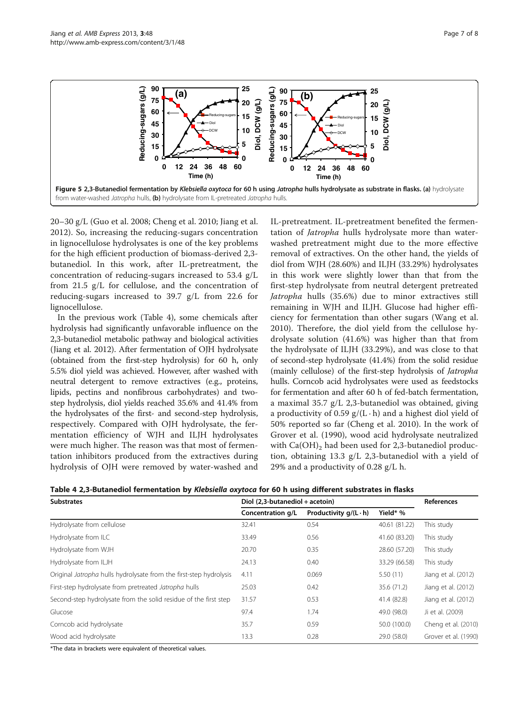<span id="page-6-0"></span>

20–30 g/L (Guo et al. [2008](#page-7-0); Cheng et al. [2010](#page-7-0); Jiang et al. [2012\)](#page-7-0). So, increasing the reducing-sugars concentration in lignocellulose hydrolysates is one of the key problems for the high efficient production of biomass-derived 2,3 butanediol. In this work, after IL-pretreatment, the concentration of reducing-sugars increased to 53.4 g/L from 21.5 g/L for cellulose, and the concentration of reducing-sugars increased to 39.7 g/L from 22.6 for lignocellulose.

In the previous work (Table 4), some chemicals after hydrolysis had significantly unfavorable influence on the 2,3-butanediol metabolic pathway and biological activities (Jiang et al. [2012](#page-7-0)). After fermentation of OJH hydrolysate (obtained from the first-step hydrolysis) for 60 h, only 5.5% diol yield was achieved. However, after washed with neutral detergent to remove extractives (e.g., proteins, lipids, pectins and nonfibrous carbohydrates) and twostep hydrolysis, diol yields reached 35.6% and 41.4% from the hydrolysates of the first- and second-step hydrolysis, respectively. Compared with OJH hydrolysate, the fermentation efficiency of WJH and ILJH hydrolysates were much higher. The reason was that most of fermentation inhibitors produced from the extractives during hydrolysis of OJH were removed by water-washed and

IL-pretreatment. IL-pretreatment benefited the fermentation of *Jatropha* hulls hydrolysate more than waterwashed pretreatment might due to the more effective removal of extractives. On the other hand, the yields of diol from WJH (28.60%) and ILJH (33.29%) hydrolysates in this work were slightly lower than that from the first-step hydrolysate from neutral detergent pretreated Jatropha hulls (35.6%) due to minor extractives still remaining in WJH and ILJH. Glucose had higher efficiency for fermentation than other sugars (Wang et al. [2010\)](#page-7-0). Therefore, the diol yield from the cellulose hydrolysate solution (41.6%) was higher than that from the hydrolysate of ILJH (33.29%), and was close to that of second-step hydrolysate (41.4%) from the solid residue (mainly cellulose) of the first-step hydrolysis of Jatropha hulls. Corncob acid hydrolysates were used as feedstocks for fermentation and after 60 h of fed-batch fermentation, a maximal 35.7 g/L 2,3-butanediol was obtained, giving a productivity of 0.59  $g/(L \cdot h)$  and a highest diol yield of 50% reported so far (Cheng et al. [2010\)](#page-7-0). In the work of Grover et al. [\(1990](#page-7-0)), wood acid hydrolysate neutralized with  $Ca(OH)$ <sub>2</sub> had been used for 2,3-butanediol production, obtaining 13.3 g/L 2,3-butanediol with a yield of 29% and a productivity of 0.28 g/L h.

Table 4 2,3-Butanediol fermentation by Klebsiella oxytoca for 60 h using different substrates in flasks

| <b>Substrates</b>                                                  | Diol (2,3-butanediol + acetoin) | <b>References</b>            |               |                      |
|--------------------------------------------------------------------|---------------------------------|------------------------------|---------------|----------------------|
|                                                                    | Concentration g/L               | Productivity $q/(L \cdot h)$ | Yield* %      |                      |
| Hydrolysate from cellulose                                         | 32.41                           | 0.54                         | 40.61 (81.22) | This study           |
| Hydrolysate from ILC                                               | 33.49                           | 0.56                         | 41.60 (83.20) | This study           |
| Hydrolysate from WJH                                               | 20.70                           | 0.35                         | 28.60 (57.20) | This study           |
| Hydrolysate from ILJH                                              | 24.13                           | 0.40                         | 33.29 (66.58) | This study           |
| Original Jatropha hulls hydrolysate from the first-step hydrolysis | 4.11                            | 0.069                        | 5.50(11)      | Jiang et al. (2012)  |
| First-step hydrolysate from pretreated Jatropha hulls              | 25.03                           | 0.42                         | 35.6 (71.2)   | Jiang et al. (2012)  |
| Second-step hydrolysate from the solid residue of the first step   | 31.57                           | 0.53                         | 41.4 (82.8)   | Jiang et al. (2012)  |
| Glucose                                                            | 97.4                            | 1.74                         | 49.0 (98.0)   | Ji et al. (2009)     |
| Corncob acid hydrolysate                                           | 35.7                            | 0.59                         | 50.0 (100.0)  | Cheng et al. (2010)  |
| Wood acid hydrolysate                                              | 13.3                            | 0.28                         | 29.0 (58.0)   | Grover et al. (1990) |

\*The data in brackets were equivalent of theoretical values.